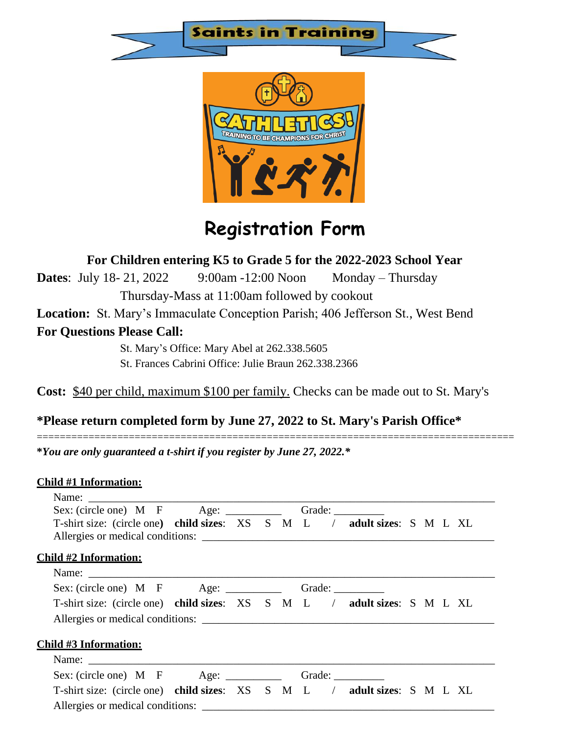



## **Registration Form**

**For Children entering K5 to Grade 5 for the 2022-2023 School Year**

**Dates**: July 18- 21, 2022 9:00am -12:00 Noon Monday – Thursday Thursday-Mass at 11:00am followed by cookout

**Location:** St. Mary's Immaculate Conception Parish; 406 Jefferson St., West Bend

**For Questions Please Call:**

St. Mary's Office: Mary Abel at 262.338.5605 St. Frances Cabrini Office: Julie Braun 262.338.2366

**Cost:** \$40 per child, maximum \$100 per family. Checks can be made out to St. Mary's

===================================================================================

## **\*Please return completed form by June 27, 2022 to St. Mary's Parish Office\***

**\****You are only guaranteed a t-shirt if you register by June 27, 2022.\**

## **Child #1 Information:**

|                                                                          | Sex: (circle one) M F Age: ___________ Grade: _________ |  |  |  |  |  |  |  |  |  |
|--------------------------------------------------------------------------|---------------------------------------------------------|--|--|--|--|--|--|--|--|--|
| T-shirt size: (circle one) child sizes: XS S M L / adult sizes: S M L XL |                                                         |  |  |  |  |  |  |  |  |  |
| Allergies or medical conditions:                                         |                                                         |  |  |  |  |  |  |  |  |  |
| <b>Child #2 Information:</b>                                             |                                                         |  |  |  |  |  |  |  |  |  |
| Name:                                                                    |                                                         |  |  |  |  |  |  |  |  |  |
| Sex: (circle one) M F Age: ____________ Grade: __________                |                                                         |  |  |  |  |  |  |  |  |  |
| T-shirt size: (circle one) child sizes: XS S M L / adult sizes: S M L XL |                                                         |  |  |  |  |  |  |  |  |  |
| Allergies or medical conditions:                                         |                                                         |  |  |  |  |  |  |  |  |  |
| <u> Child #3 Information:</u>                                            |                                                         |  |  |  |  |  |  |  |  |  |
|                                                                          |                                                         |  |  |  |  |  |  |  |  |  |
|                                                                          |                                                         |  |  |  |  |  |  |  |  |  |
| T-shirt size: (circle one) child sizes: XS S M L / adult sizes: S M L XL |                                                         |  |  |  |  |  |  |  |  |  |
| Allergies or medical conditions:                                         |                                                         |  |  |  |  |  |  |  |  |  |